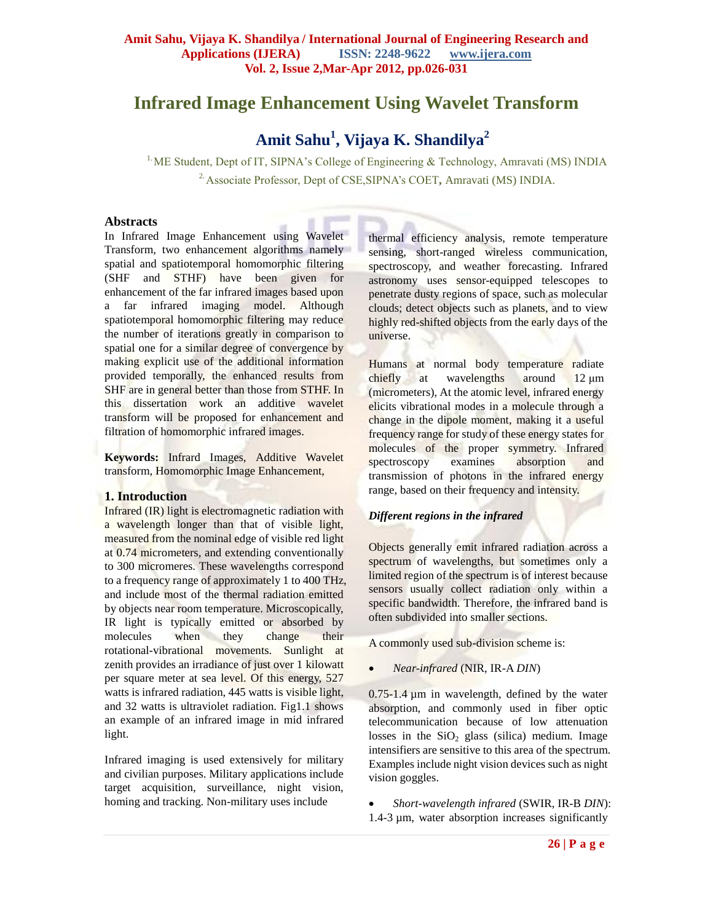# **Infrared Image Enhancement Using Wavelet Transform**

# **Amit Sahu<sup>1</sup> , Vijaya K. Shandilya 2**

<sup>1.</sup> ME Student, Dept of IT, SIPNA's College of Engineering & Technology, Amravati (MS) INDIA 2.Associate Professor, Dept of CSE,SIPNA's COET*,* Amravati (MS) INDIA.

#### **Abstracts**

In Infrared Image Enhancement using Wavelet Transform, two enhancement algorithms namely spatial and spatiotemporal homomorphic filtering (SHF and STHF) have been given for enhancement of the far infrared images based upon a far infrared imaging model. Although spatiotemporal homomorphic filtering may reduce the number of iterations greatly in comparison to spatial one for a similar degree of convergence by making explicit use of the additional information provided temporally, the enhanced results from SHF are in general better than those from STHF. In this dissertation work an additive wavelet transform will be proposed for enhancement and filtration of homomorphic infrared images.

**Keywords:** Infrard Images, Additive Wavelet transform, Homomorphic Image Enhancement,

#### **1. Introduction**

Infrared (IR) light is electromagnetic radiation with a wavelength longer than that of visible light, measured from the nominal edge of visible red light at 0.74 micrometers, and extending conventionally to 300 micromeres. These wavelengths correspond to a frequency range of approximately 1 to 400 THz, and include most of the thermal radiation emitted by objects near room temperature. Microscopically, IR light is typically emitted or absorbed by molecules when they change their rotational-vibrational movements. Sunlight at zenith provides an irradiance of just over 1 [kilow](http://en.wikipedia.org/wiki/Kilo-)att per square meter at sea level. Of this energy, 527 watts is infrared radiation, 445 watts i[s visible light,](http://en.wikipedia.org/wiki/Visible_light) and 32 watts is ultraviolet radiation. Fig1.1 shows an example of an infrared image in mid infrared light.

Infrared imaging is used extensively for military and civilian purposes. Military applications include target acquisition, surveillance, night vision, homing and tracking. Non-military uses include

thermal efficiency analysis, remote temperature sensing, short-ranged wireless communication, spectroscopy, and weather forecasting. Infrared astronomy uses sensor-equipped telescopes to penetrate dusty regions of space, such as molecular clouds; detect objects such as planets, and to view highly red-shifted objects from the early days of the universe.

Humans at normal body temperature radiate chiefly at wavelengths around 12 μm (micrometers), At the atomic level, infrared energy elicits [vibrational](http://en.wikipedia.org/wiki/Vibration) modes in a molecule through a change in the dipole moment, making it a useful frequency range for study of these energy states for molecules of the proper symmetry. Infrared spectroscopy examines absorption and transmission of photons in the infrared energy range, based on their frequency and intensity.

#### *Different regions in the infrared*

Objects generally emit infrared radiation across a spectrum of wavelengths, but sometimes only a limited region of the spectrum is of interest because sensors usually collect radiation only within a specific bandwidth. Therefore, the infrared band is often subdivided into smaller sections.

A commonly used sub-division scheme is:

*Near-infrared* (NIR, IR-A *DIN*)

0.75-1.4 µm in wavelength, defined by the water absorption, and commonly used in fiber optic telecommunication because of low attenuation losses in the  $SiO<sub>2</sub>$  glass (silica) medium. Image intensifiers are sensitive to this area of the spectrum. Examples include night vision devices such as night vision goggles.

 *Short-wavelength infrared* (SWIR, IR-B *DIN*): 1.4-3 µm, water absorption increases significantly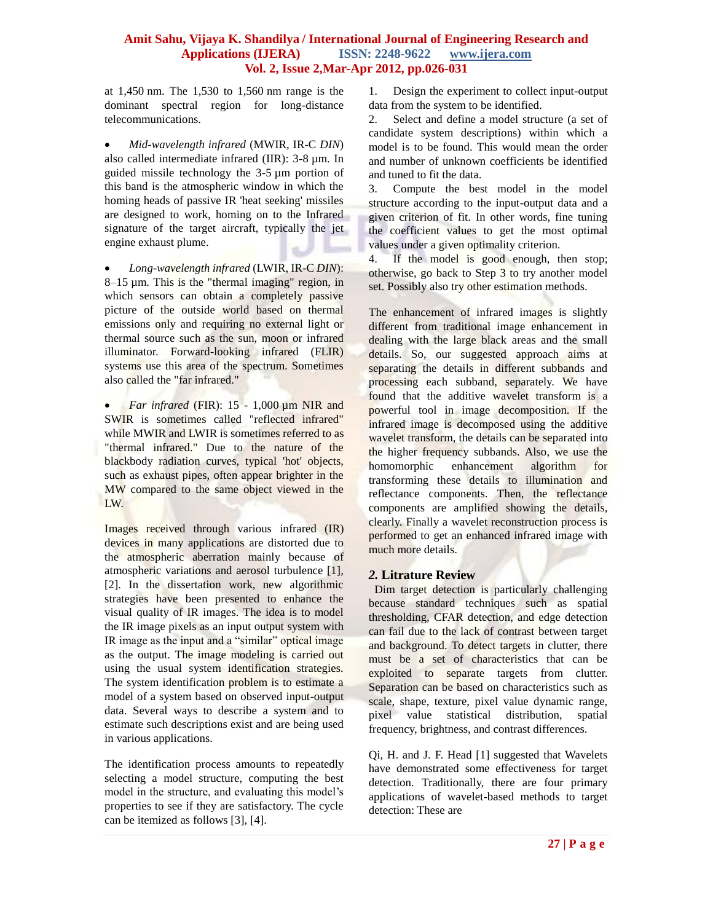at 1,450 nm. The 1,530 to 1,560 nm range is the dominant spectral region for long-distance telecommunications.

 *Mid-wavelength infrared* (MWIR, IR-C *DIN*) also called intermediate infrared (IIR): 3-8 µm. In guided missile technology the 3-5 µm portion of this band is the atmospheric window in which the homing heads of passive IR 'heat seeking' missiles are designed to work, homing on to the Infrared signature of the target aircraft, typically the jet engine exhaust plume.

 *Long-wavelength infrared* (LWIR, IR-C *DIN*): 8–15 µm. This is the "thermal imaging" region, in which sensors can obtain a completely passive picture of the outside world based on thermal emissions only and requiring no external light or thermal source such as the sun, moon or infrared illuminator. Forward-looking infrared (FLIR) systems use this area of the spectrum. Sometimes also called the "far infrared."

 *Far infrared* (FIR): 15 - 1,000 µm NIR and SWIR is sometimes called "reflected infrared" while MWIR and LWIR is sometimes referred to as "thermal infrared." Due to the nature of the blackbody radiation curves, typical 'hot' objects, such as exhaust pipes, often appear brighter in the MW compared to the same object viewed in the LW.

Images received through various infrared (IR) devices in many applications are distorted due to the atmospheric aberration mainly because of atmospheric variations and aerosol turbulence [1], [2]. In the dissertation work, new algorithmic strategies have been presented to enhance the visual quality of IR images. The idea is to model the IR image pixels as an input output system with IR image as the input and a "similar" optical image as the output. The image modeling is carried out using the usual system identification strategies. The system identification problem is to estimate a model of a system based on observed input-output data. Several ways to describe a system and to estimate such descriptions exist and are being used in various applications.

The identification process amounts to repeatedly selecting a model structure, computing the best model in the structure, and evaluating this model's properties to see if they are satisfactory. The cycle can be itemized as follows [3], [4].

1. Design the experiment to collect input-output data from the system to be identified.

2. Select and define a model structure (a set of candidate system descriptions) within which a model is to be found. This would mean the order and number of unknown coefficients be identified and tuned to fit the data.

3. Compute the best model in the model structure according to the input-output data and a given criterion of fit. In other words, fine tuning the coefficient values to get the most optimal values under a given optimality criterion.

4. If the model is good enough, then stop; otherwise, go back to Step 3 to try another model set. Possibly also try other estimation methods.

The enhancement of infrared images is slightly different from traditional image enhancement in dealing with the large black areas and the small details. So, our suggested approach aims at separating the details in different subbands and processing each subband, separately. We have found that the additive wavelet transform is a powerful tool in image decomposition. If the infrared image is decomposed using the additive wavelet transform, the details can be separated into the higher frequency subbands. Also, we use the homomorphic enhancement algorithm for transforming these details to illumination and reflectance components. Then, the reflectance components are amplified showing the details, clearly. Finally a wavelet reconstruction process is performed to get an enhanced infrared image with much more details.

# *2.* **Litrature Review**

Dim target detection is particularly challenging because standard techniques such as spatial thresholding, CFAR detection, and edge detection can fail due to the lack of contrast between target and background. To detect targets in clutter, there must be a set of characteristics that can be exploited to separate targets from clutter. Separation can be based on characteristics such as scale, shape, texture, pixel value dynamic range, pixel value statistical distribution, spatial frequency, brightness, and contrast differences.

Qi, H. and J. F. Head [1] suggested that Wavelets have demonstrated some effectiveness for target detection. Traditionally, there are four primary applications of wavelet-based methods to target detection: These are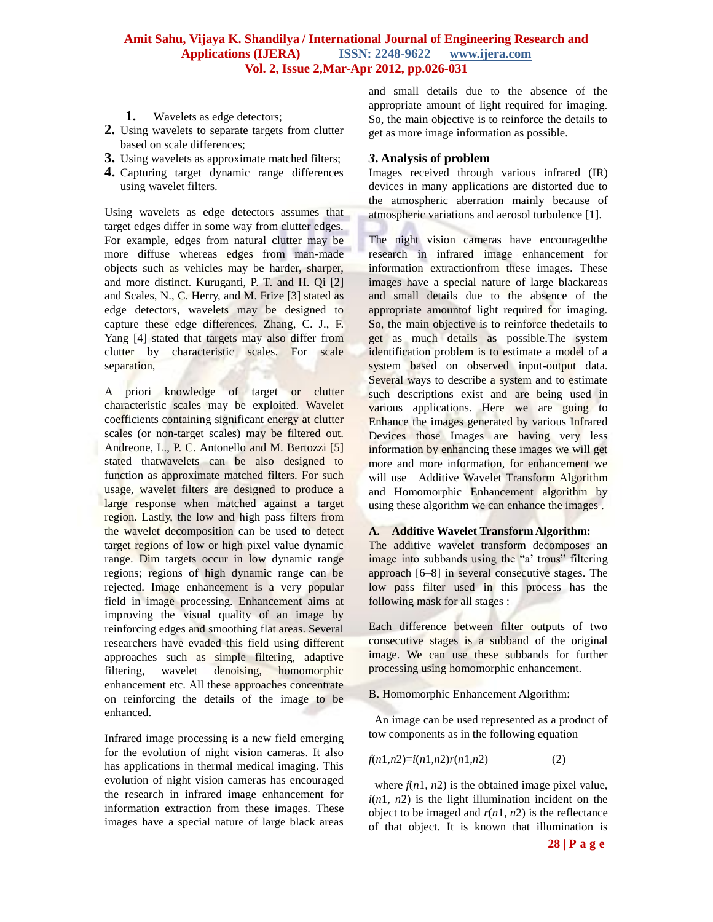#### **1.** Wavelets as edge detectors;

- **2.** Using wavelets to separate targets from clutter based on scale differences;
- **3.** Using wavelets as approximate matched filters;
- **4.** Capturing target dynamic range differences using wavelet filters.

Using wavelets as edge detectors assumes that target edges differ in some way from clutter edges. For example, edges from natural clutter may be more diffuse whereas edges from man-made objects such as vehicles may be harder, sharper, and more distinct. Kuruganti, P. T. and H. Qi [2] and Scales, N., C. Herry, and M. Frize [3] stated as edge detectors, wavelets may be designed to capture these edge differences. Zhang, C. J., F. Yang [4] stated that targets may also differ from clutter by characteristic scales. For scale separation,

A priori knowledge of target or clutter characteristic scales may be exploited. Wavelet coefficients containing significant energy at clutter scales (or non-target scales) may be filtered out. Andreone, L., P. C. Antonello and M. Bertozzi [5] stated thatwavelets can be also designed to function as approximate matched filters. For such usage, wavelet filters are designed to produce a large response when matched against a target region. Lastly, the low and high pass filters from the wavelet decomposition can be used to detect target regions of low or high pixel value dynamic range. Dim targets occur in low dynamic range regions; regions of high dynamic range can be rejected. Image enhancement is a very popular field in image processing. Enhancement aims at improving the visual quality of an image by reinforcing edges and smoothing flat areas. Several researchers have evaded this field using different approaches such as simple filtering, adaptive filtering, wavelet denoising, homomorphic enhancement etc. All these approaches concentrate on reinforcing the details of the image to be enhanced.

Infrared image processing is a new field emerging for the evolution of night vision cameras. It also has applications in thermal medical imaging. This evolution of night vision cameras has encouraged the research in infrared image enhancement for information extraction from these images. These images have a special nature of large black areas and small details due to the absence of the appropriate amount of light required for imaging. So, the main objective is to reinforce the details to get as more image information as possible.

## *3***. Analysis of problem**

Images received through various infrared (IR) devices in many applications are distorted due to the atmospheric aberration mainly because of atmospheric variations and aerosol turbulence [1].

The night vision cameras have encouragedthe research in infrared image enhancement for information extractionfrom these images. These images have a special nature of large blackareas and small details due to the absence of the appropriate amountof light required for imaging. So, the main objective is to reinforce thedetails to get as much details as possible.The system identification problem is to estimate a model of a system based on observed input-output data. Several ways to describe a system and to estimate such descriptions exist and are being used in various applications. Here we are going to Enhance the images generated by various Infrared Devices those Images are having very less information by enhancing these images we will get more and more information, for enhancement we will use Additive Wavelet Transform Algorithm and Homomorphic Enhancement algorithm by using these algorithm we can enhance the images .

### **A. Additive Wavelet Transform Algorithm:**

The additive wavelet transform decomposes an image into subbands using the "a' trous" filtering approach [6–8] in several consecutive stages. The low pass filter used in this process has the following mask for all stages :

Each difference between filter outputs of two consecutive stages is a subband of the original image. We can use these subbands for further processing using homomorphic enhancement.

B. Homomorphic Enhancement Algorithm:

An image can be used represented as a product of tow components as in the following equation

$$
f(n1,n2)=i(n1,n2)r(n1,n2)
$$
 (2)

where  $f(n1, n2)$  is the obtained image pixel value,  $i(n1, n2)$  is the light illumination incident on the object to be imaged and  $r(n1, n2)$  is the reflectance of that object. It is known that illumination is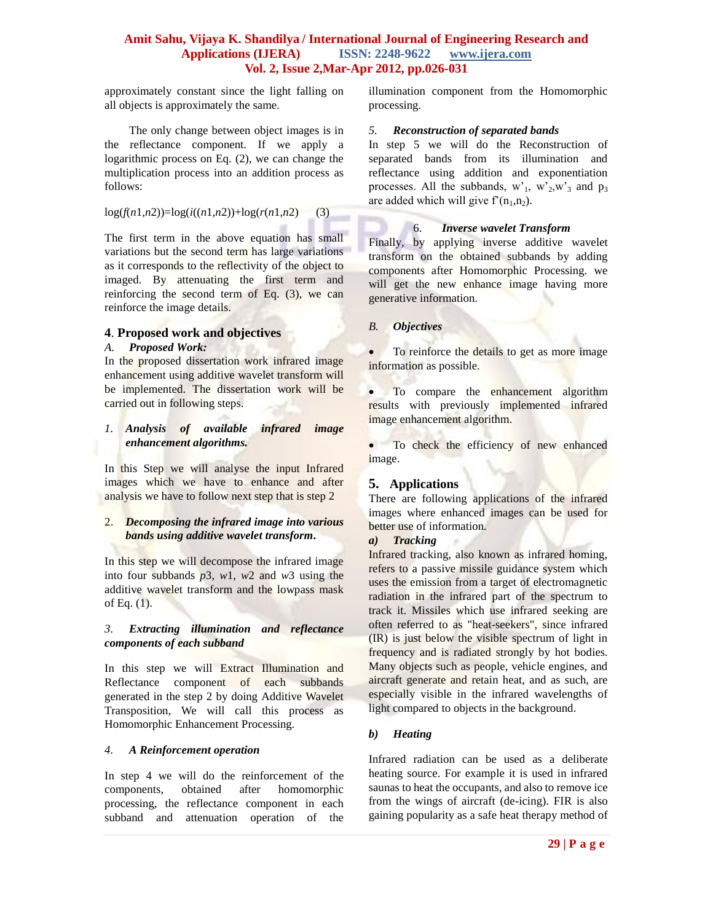approximately constant since the light falling on all objects is approximately the same.

The only change between object images is in the reflectance component. If we apply a logarithmic process on Eq. (2), we can change the multiplication process into an addition process as follows:

$$
log(f(n1, n2)) = log(i((n1, n2)) + log(r(n1, n2)) \qquad (3)
$$

The first term in the above equation has small variations but the second term has large variations as it corresponds to the reflectivity of the object to imaged. By attenuating the first term and reinforcing the second term of Eq. (3), we can reinforce the image details.

# **4**. **Proposed work and objectives**

#### *A. Proposed Work:*

In the proposed dissertation work infrared image enhancement using additive wavelet transform will be implemented. The dissertation work will be carried out in following steps.

## *1. Analysis of available infrared image enhancement algorithms.*

In this Step we will analyse the input Infrared images which we have to enhance and after analysis we have to follow next step that is step 2

## 2. *Decomposing the infrared image into various bands using additive wavelet transform***.**

In this step we will decompose the infrared image into four subbands *p*3, *w*1, *w*2 and *w*3 using the additive wavelet transform and the lowpass mask of Eq. (1).

## *3. Extracting illumination and reflectance components of each subband*

In this step we will Extract Illumination and Reflectance component of each subbands generated in the step 2 by doing Additive Wavelet Transposition, We will call this process as Homomorphic Enhancement Processing.

### *4. A Reinforcement operation*

In step 4 we will do the reinforcement of the components, obtained after homomorphic processing, the reflectance component in each subband and attenuation operation of the illumination component from the Homomorphic processing.

#### *5. Reconstruction of separated bands*

In step 5 we will do the Reconstruction of separated bands from its illumination and reflectance using addition and exponentiation processes. All the subbands,  $w_1$ ,  $w_2$ ,  $w_3$  and  $p_3$ are added which will give  $f'(n_1,n_2)$ .

#### 6. *Inverse wavelet Transform*

Finally, by applying inverse additive wavelet transform on the obtained subbands by adding components after Homomorphic Processing. we will get the new enhance image having more generative information.

#### *B. Objectives*

 To reinforce the details to get as more image information as possible.

• To compare the enhancement algorithm results with previously implemented infrared image enhancement algorithm.

 To check the efficiency of new enhanced image.

## **5. Applications**

There are following applications of the infrared images where enhanced images can be used for better use of information.

## *a) Tracking*

Infrared tracking, also known as infrared homing, refers to a passive missile guidance system which uses the emission from a target of electromagnetic radiation in the infrared part of the spectrum to track it. Missiles which use infrared seeking are often referred to as "heat-seekers", since infrared (IR) is just below the visible spectrum of light in frequency and is radiated strongly by hot bodies. Many objects such as people, vehicle engines, and aircraft generate and retain heat, and as such, are especially visible in the infrared wavelengths of light compared to objects in the background.

### *b) Heating*

Infrared radiation can be used as a deliberate heating source. For example it is used in infrared saunas to heat the occupants, and also to remove ice from the wings of aircraft (de-icing). FIR is also gaining popularity as a safe heat therapy method of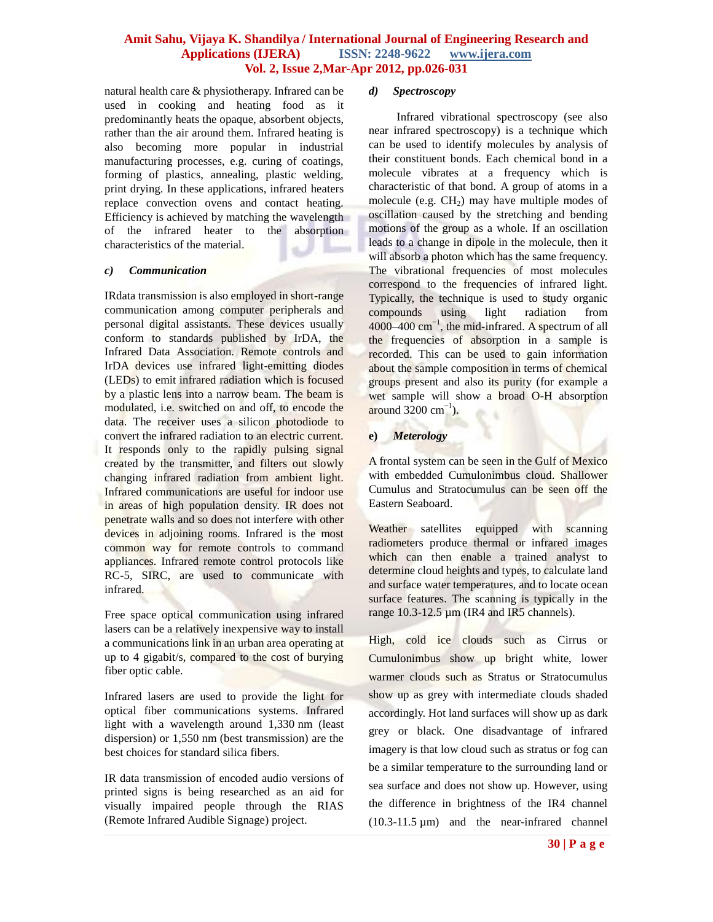natural health care & physiotherapy. Infrared can be used in cooking and heating food as it predominantly heats the opaque, absorbent objects, rather than the air around them. Infrared heating is also becoming more popular in industrial manufacturing processes, e.g. curing of coatings, forming of plastics, annealing, plastic welding, print drying. In these applications, infrared heaters replace convection ovens and contact heating. Efficiency is achieved by matching the wavelength of the infrared heater to the absorption characteristics of the material.

#### *c) Communication*

IRdata transmission is also employed in short-range communication among computer peripherals and personal digital assistants. These devices usually conform to standards published by IrDA, the Infrared Data Association. Remote controls and IrDA devices use infrared light-emitting diodes (LEDs) to emit infrared radiation which is focused by a plastic lens into a narrow beam. The beam is modulated, i.e. switched on and off, to encode the data. The receiver uses a silicon photodiode to convert the infrared radiation to an electric current. It responds only to the rapidly pulsing signal created by the transmitter, and filters out slowly changing infrared radiation from ambient light. Infrared communications are useful for indoor use in areas of high population density. IR does not penetrate walls and so does not interfere with other devices in adjoining rooms. Infrared is the most common way for remote controls to command appliances. Infrared remote control protocols like RC-5, SIRC, are used to communicate with infrared.

Free space optical communication using infrared lasers can be a relatively inexpensive way to install a communications link in an urban area operating at up to 4 gigabit/s, compared to the cost of burying fiber optic cable.

Infrared lasers are used to provide the light for optical fiber communications systems. Infrared light with a wavelength around 1,330 nm (least dispersion) or 1,550 nm (best transmission) are the best choices for standard silica fibers.

IR data transmission of encoded audio versions of printed signs is being researched as an aid for visually impaired people through the RIAS (Remote Infrared Audible Signage) project.

### *d) Spectroscopy*

 Infrared vibrational spectroscopy (see also near infrared spectroscopy) is a technique which can be used to identify molecules by analysis of their constituent bonds. Each chemical bond in a molecule vibrates at a frequency which is characteristic of that bond. A group of atoms in a molecule (e.g.  $CH<sub>2</sub>$ ) may have multiple modes of oscillation caused by the stretching and bending motions of the group as a whole. If an oscillation leads to a change in dipole in the molecule, then it will absorb a photon which has the same frequency. The vibrational frequencies of most molecules correspond to the frequencies of infrared light. Typically, the technique is used to study organic compounds using light radiation from  $4000-400$  cm<sup>-1</sup>, the mid-infrared. A spectrum of all the frequencies of absorption in a sample is recorded. This can be used to gain information about the sample composition in terms of chemical groups present and also its purity (for example a wet sample will show a broad O-H absorption around  $3200 \text{ cm}^{-1}$ ).

#### **e)** *Meterology*

A frontal system can be seen in the Gulf of Mexico with embedded Cumulonimbus cloud. Shallower Cumulus and Stratocumulus can be seen off the Eastern Seaboard.

Weather satellites equipped with scanning radiometers produce thermal or infrared images which can then enable a trained analyst to determine cloud heights and types, to calculate land and surface water temperatures, and to locate ocean surface features. The scanning is typically in the range 10.3-12.5 µm (IR4 and IR5 channels).

High, cold ice clouds such as Cirrus or Cumulonimbus show up bright white, lower warmer clouds such as Stratus or Stratocumulus show up as grey with intermediate clouds shaded accordingly. Hot land surfaces will show up as dark grey or black. One disadvantage of infrared imagery is that low cloud such as stratus or fog can be a similar temperature to the surrounding land or sea surface and does not show up. However, using the difference in brightness of the IR4 channel (10.3-11.5 µm) and the near-infrared channel